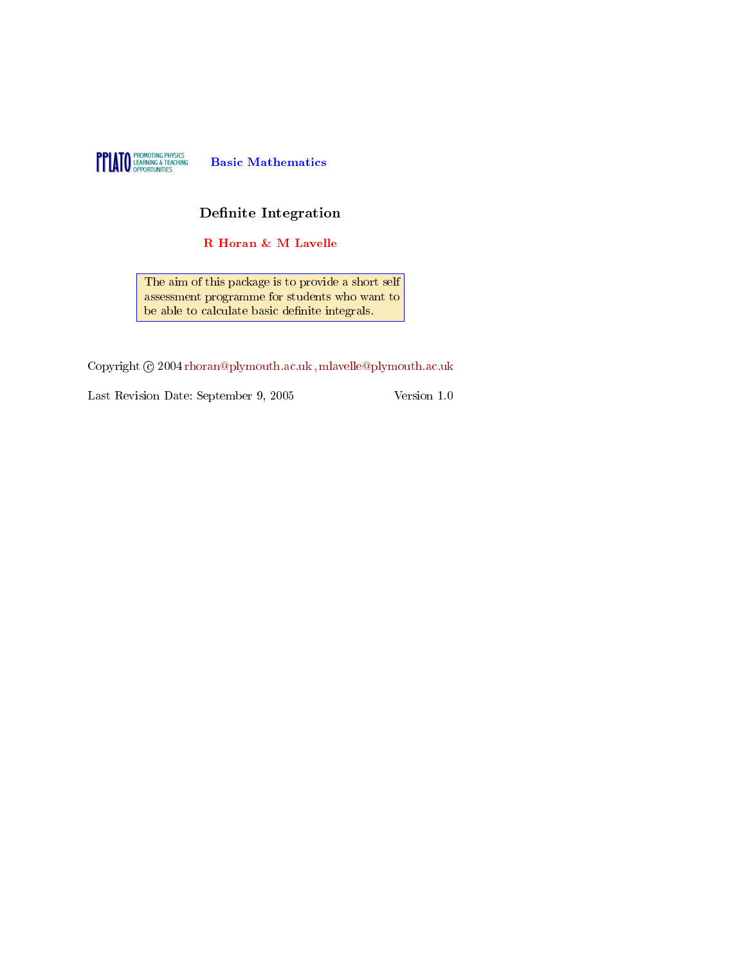

## Definite Integration

R Horan & M Lavelle

The aim of this package is to provide a short self assessment programme for students who want to be able to calculate basic definite integrals.

Copyright  $\odot$  2004 rhoran@plymouth.ac.uk, mlavelle@plymouth.ac.uk

Last Revision Date: September 9, 2005 Version 1.0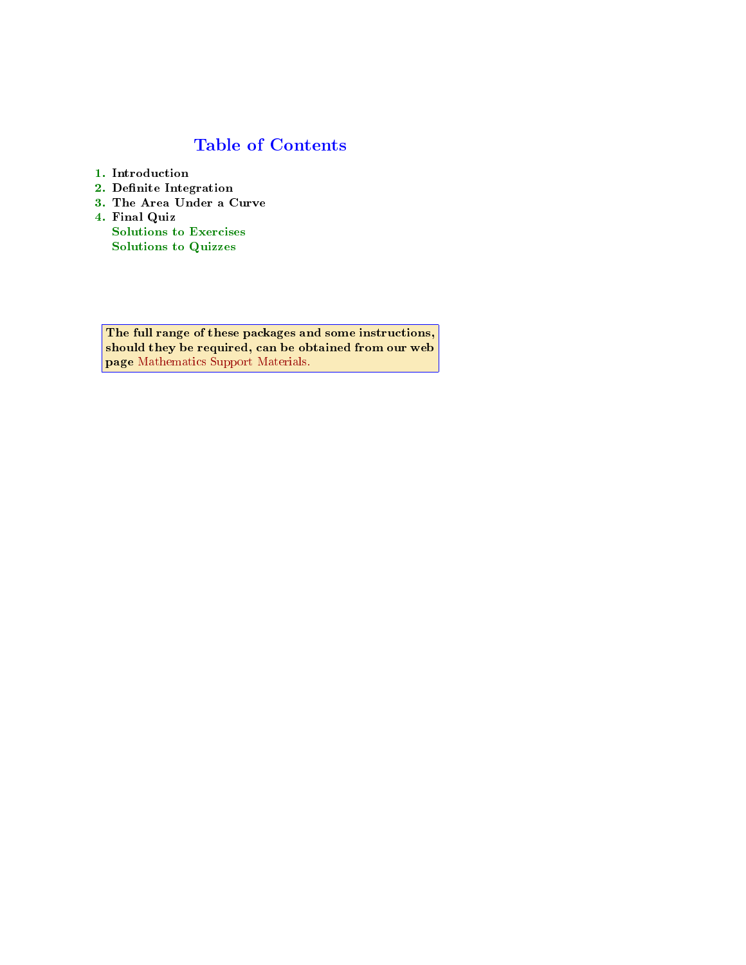## Table of Contents

- 1. Introduction
- 2. Definite Integration
- 3. The Area Under a Curve
- 4. Final Quiz Solutions to Exercises [Solutions to Quizzes](http://www.plymouth.ac.uk/mathaid)

The full range of these packages and some instructions, should they be required, can be obtained from our web page Mathematics Support Materials.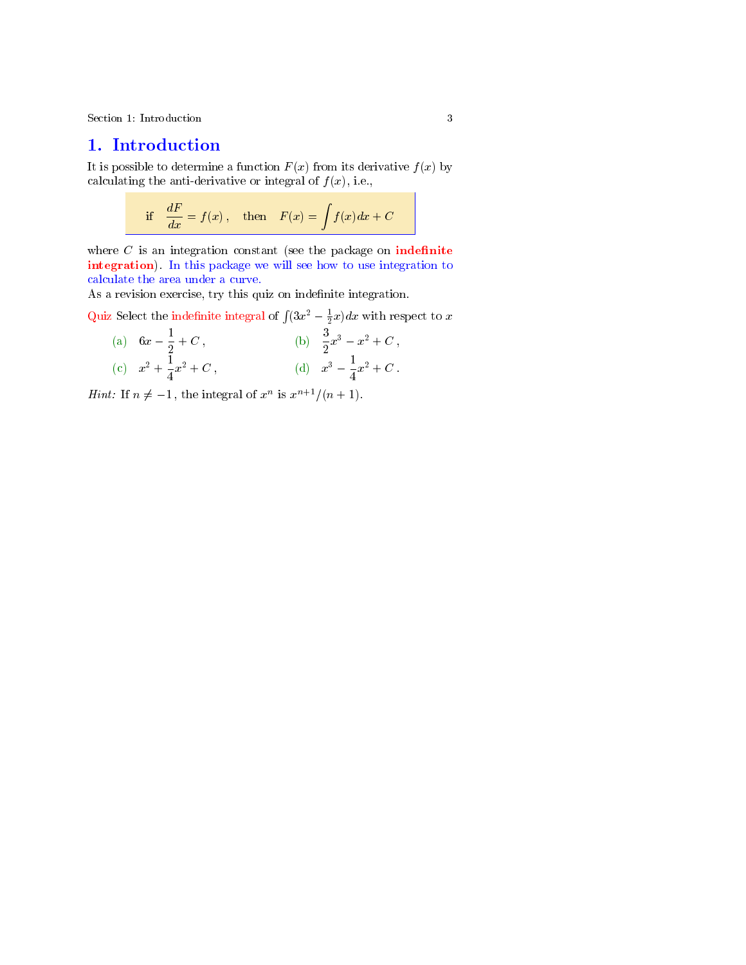<span id="page-2-0"></span>Section 1: Introduction 3

## 1. Introduction

It is possible to determine a function  $F(x)$  from its derivative  $f(x)$  by calculating the anti-derivative or integral of  $f(x)$ , i.e.,

if 
$$
\frac{dF}{dx} = f(x)
$$
, then  $F(x) = \int f(x) dx + C$ 

where  $C$  is an integration constant (see the package on **indefinite** integration). In this package we will see how to use integration to calculate the area under a curve.

As a revision exercise, try this quiz on indefinite integration.

Quiz Select the indefinite integral of  $\int (3x^2 - \frac{1}{2}x)dx$  with respect to x

(a) 
$$
6x - \frac{1}{2} + C
$$
,  
\n(b)  $\frac{3}{2}x^3 - x^2 + C$ ,  
\n(c)  $x^2 + \frac{1}{4}x^2 + C$ ,  
\n(d)  $x^3 - \frac{1}{4}x^2 + C$ .

*Hint:* If  $n \neq -1$ , the integral of  $x^n$  is  $x^{n+1}/(n+1)$ .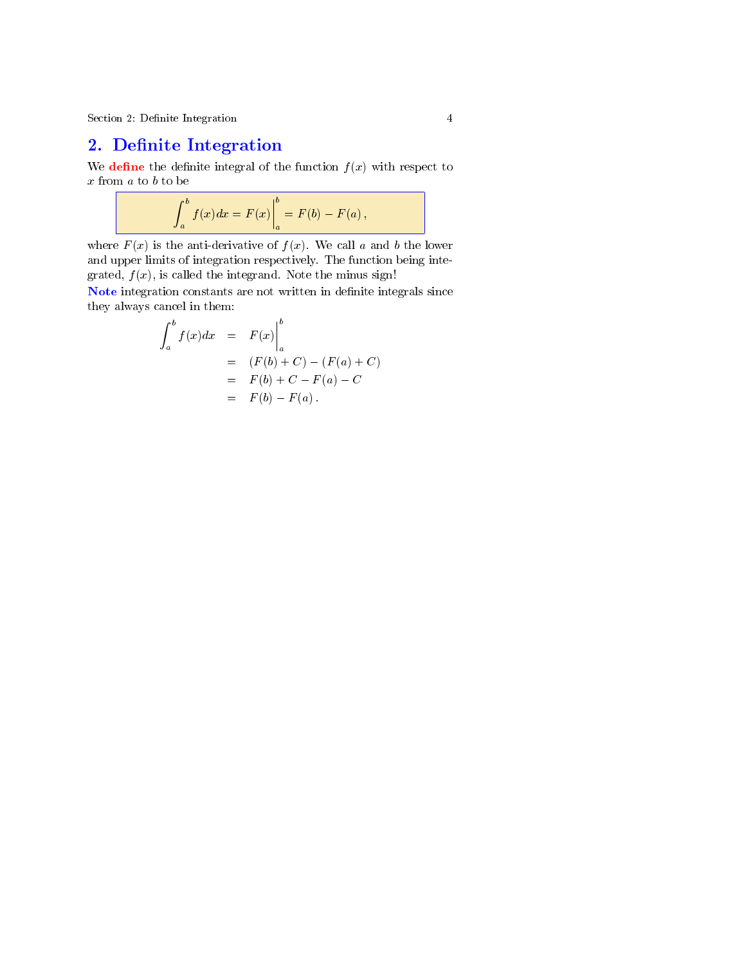Section 2: Definite Integration 4

## 2. Definite Integration

We **define** the definite integral of the function  $f(x)$  with respect to  $x$  from  $a$  to  $b$  to be

$$
\int_a^b f(x)dx = F(x)\bigg|_a^b = F(b) - F(a),
$$

where  $F(x)$  is the anti-derivative of  $f(x)$ . We call a and b the lower and upper limits of integration respectively. The function being integrated,  $f(x)$ , is called the integrand. Note the minus sign!

Note integration constants are not written in definite integrals since they always cancel in them:

$$
\int_{a}^{b} f(x)dx = F(x)\Big|_{a}^{b}
$$
  
=  $(F(b) + C) - (F(a) + C)$   
=  $F(b) + C - F(a) - C$   
=  $F(b) - F(a)$ .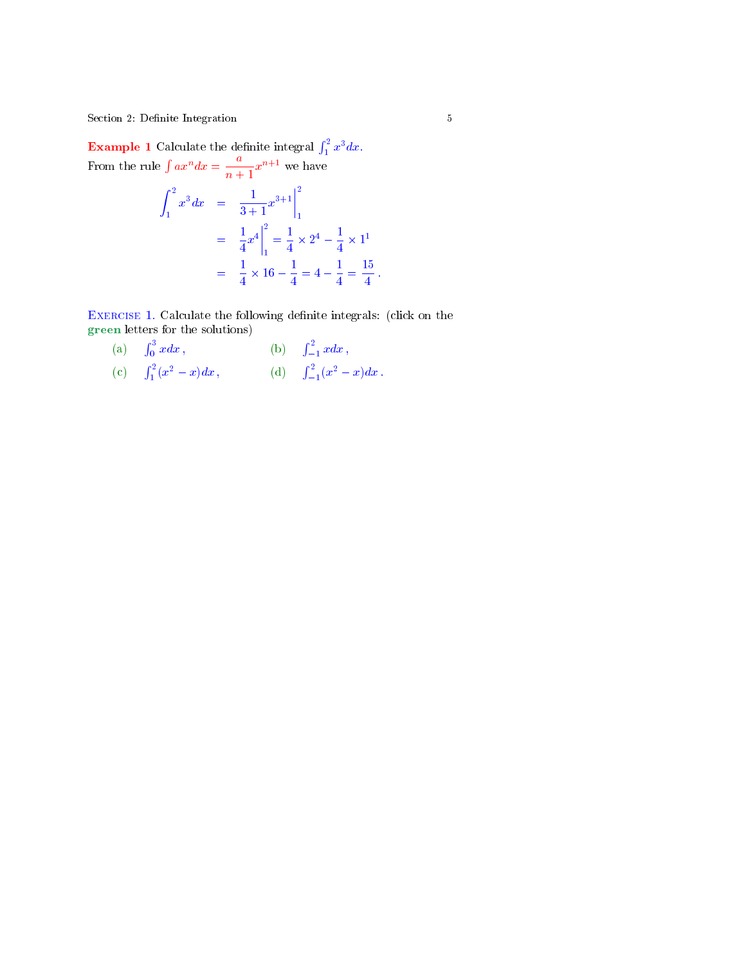<span id="page-4-0"></span>Section 2: Definite Integration 5

**Example 1** Calculate the definite integral  $\int_1^2 x^3 dx$ . From the rule  $\int ax^n dx = \frac{a}{a}$  $\frac{u}{n+1}x^{n+1}$  we have

$$
\int_{1}^{2} x^{3} dx = \frac{1}{3+1} x^{3+1} \Big|_{1}^{2}
$$
  
=  $\frac{1}{4} x^{4} \Big|_{1}^{2} = \frac{1}{4} \times 2^{4} - \frac{1}{4} \times 1^{1}$   
=  $\frac{1}{4} \times 16 - \frac{1}{4} = 4 - \frac{1}{4} = \frac{15}{4}$ .

EXERCISE 1. Calculate the following definite integrals: (click on the green letters for the solutions)

(a)  $\int_0^3 x dx$ , (b)  $\int_{-1}^2 x dx$ , (c)  $\int_1^2 (x^2 - x) dx$ , (d)  $\int_{-1}^2 (x^2 - x) dx$ .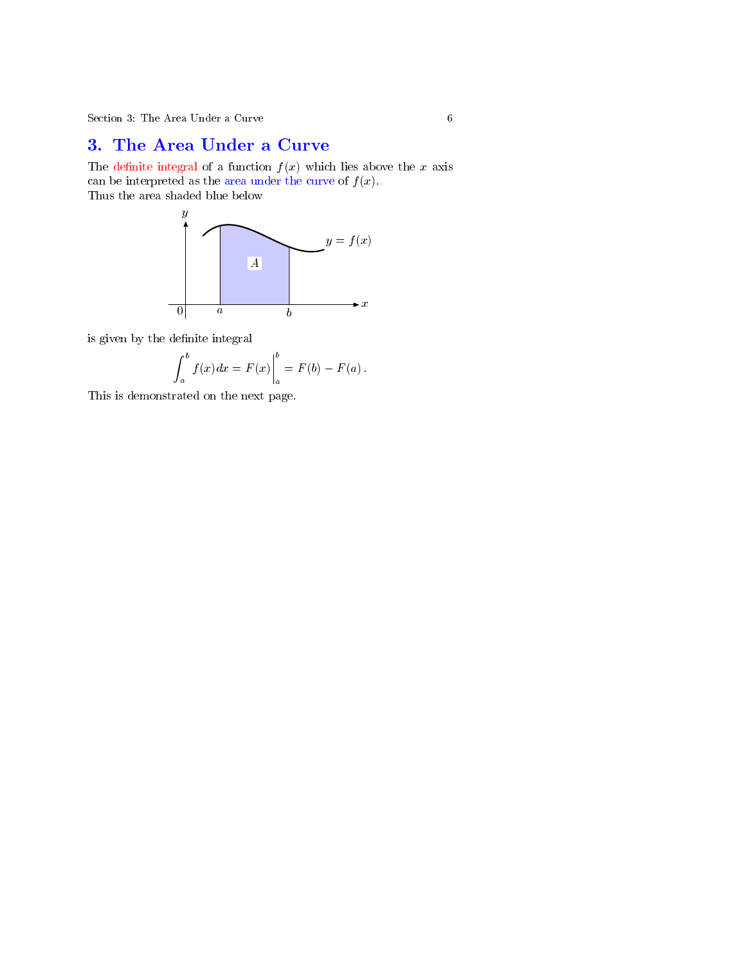## 3. The Area Under a Curve

The definite integral of a function  $f(x)$  which lies above the x axis can be interpreted as the area under the curve of  $f(x)$ . Thus the area shaded blue below



is given by the definite integral

$$
\int_{a}^{b} f(x)dx = F(x)\Big|_{a}^{b} = F(b) - F(a).
$$

This is demonstrated on the next page.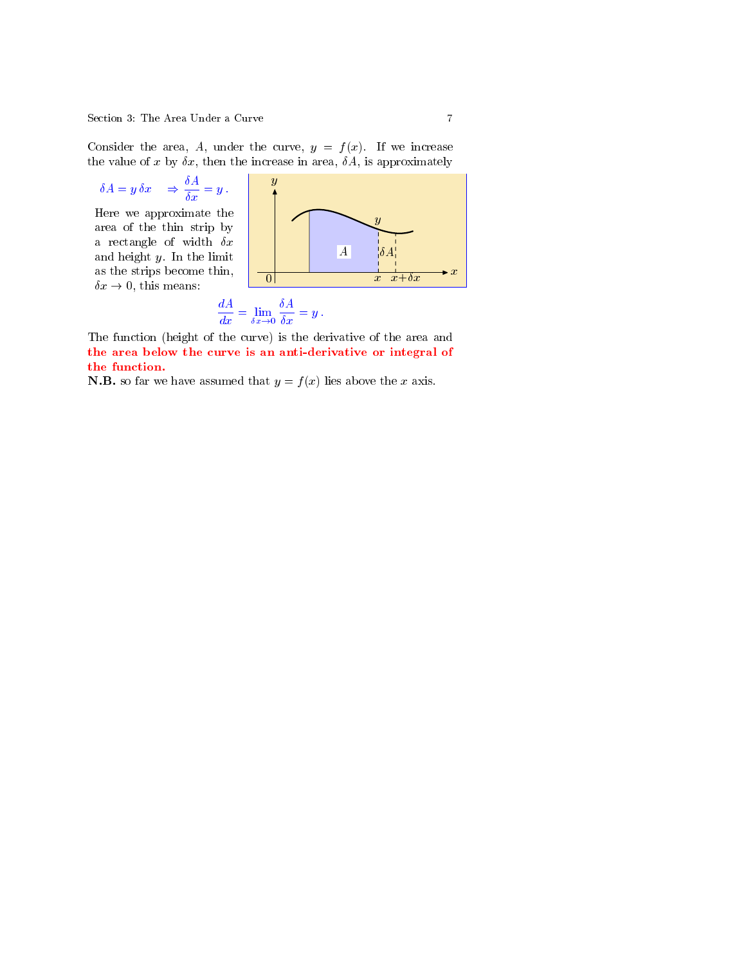Consider the area, A, under the curve,  $y = f(x)$ . If we increase the value of x by  $\delta x$ , then the increase in area,  $\delta A$ , is approximately

$$
\delta A = y \, \delta x \quad \Rightarrow \frac{\delta A}{\delta x} = y \, .
$$

Here we approximate the area of the thin strip by a rectangle of width  $\delta x$ and height  $y$ . In the limit as the strips become thin,



$$
\frac{dA}{dx} = \lim_{\delta x \to 0} \frac{\delta A}{\delta x} = y.
$$

The function (height of the curve) is the derivative of the area and the area below the curve is an anti-derivative or integral of the function.

**N.B.** so far we have assumed that  $y = f(x)$  lies above the x axis.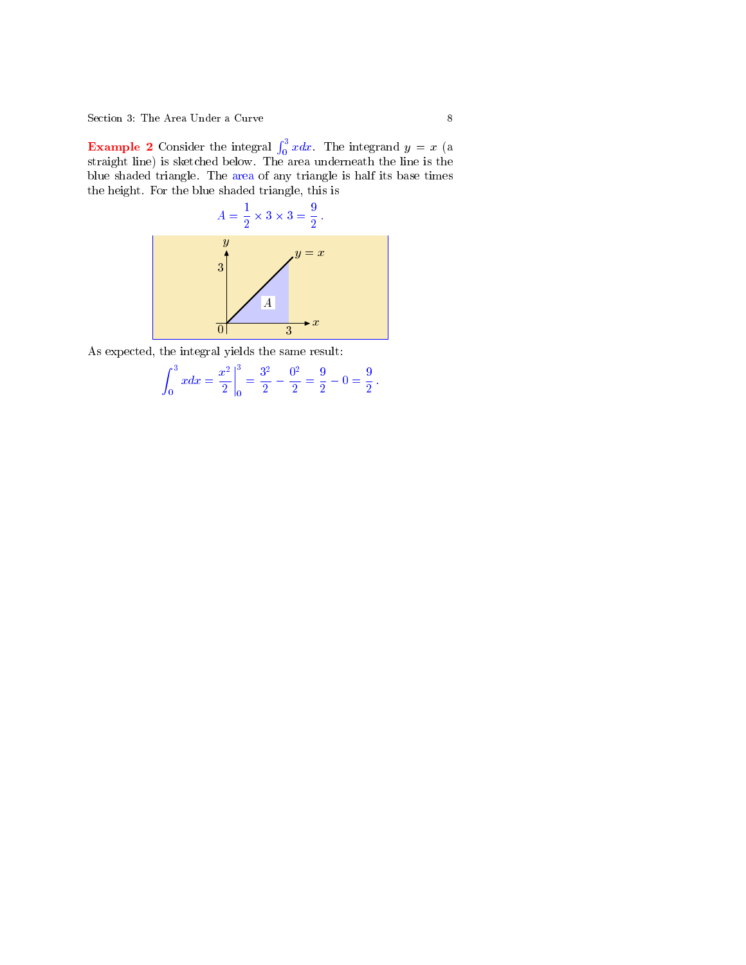**Example 2** Consider the integral  $\int_0^3 x dx$ . The integrand  $y = x$  (a straight line) is sketched below. The area underneath the line is the blue shaded triangle. The area of any triangle is half its base times the height. For the blue shaded triangle, this is



As expected, the integral yields the same result:

$$
\int_0^3 x dx = \frac{x^2}{2} \bigg|_0^3 = \frac{3^2}{2} - \frac{0^2}{2} = \frac{9}{2} - 0 = \frac{9}{2}.
$$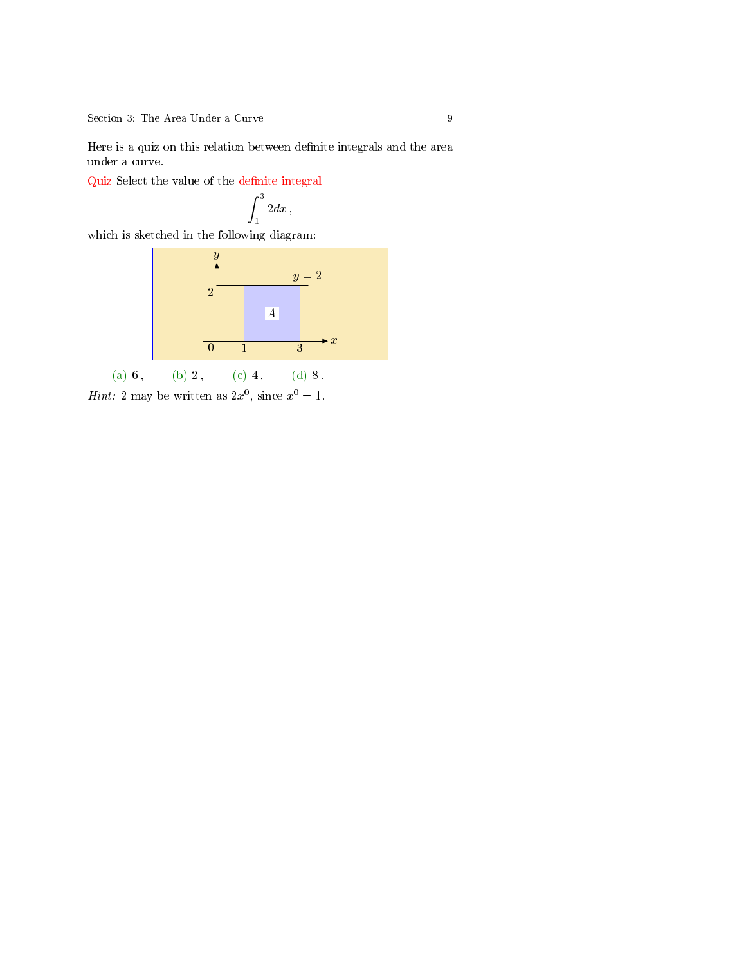Here is a quiz on this relation between definite integrals and the area under a curve.

Quiz Select the value of the definite integral

$$
\int_1^3 2 dx,
$$

which is sketched in the following diagram:



*Hint*: 2 may be written as  $2x^0$ , since  $x^0 = 1$ .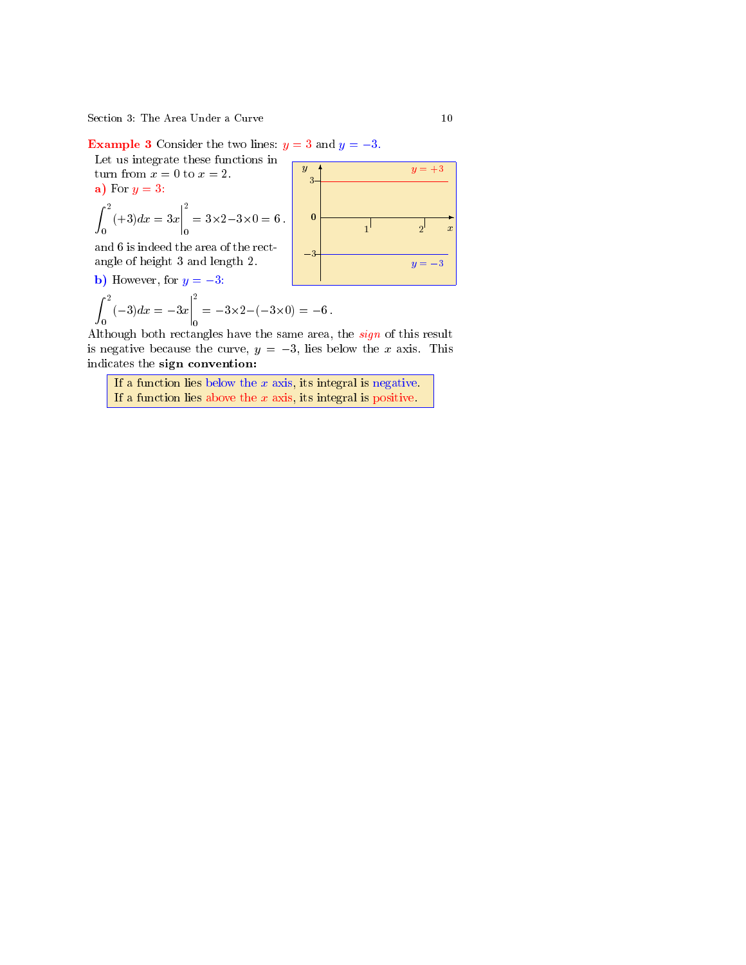**Example 3** Consider the two lines:  $y = 3$  and  $y = -3$ .

Let us integrate these functions in turn from  $x = 0$  to  $x = 2$ . a) For  $y=3$ :

$$
\int_0^2 (+3) dx = 3x \Big|_0^2 = 3 \times 2 - 3 \times 0 = 6.
$$

and 6 is indeed the area of the rectangle of height 3 and length 2.

**b**) However, for  $y = -3$ :

$$
\int_0^2 (-3) dx = -3x \Big|_0^2 = -3 \times 2 - (-3 \times 0) = -6.
$$

Although both rectangles have the same area, the *sign* of this result is negative because the curve,  $y = -3$ , lies below the x axis. This indicates the sign convention:

If a function lies below the  $x$  axis, its integral is negative. If a function lies above the  $x$  axis, its integral is positive.

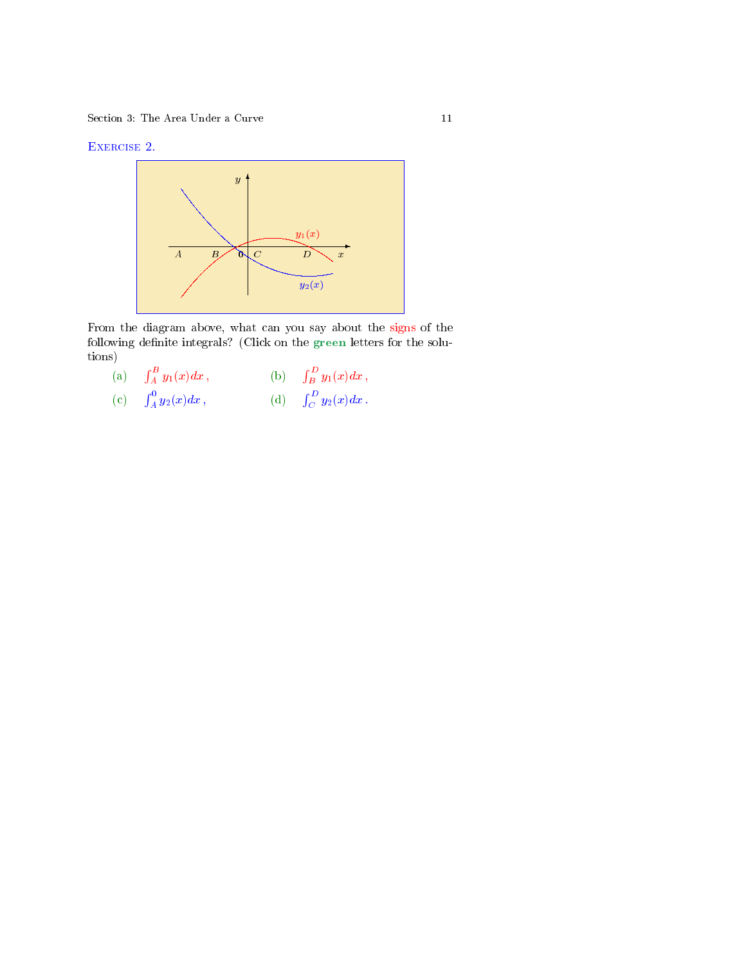### Exercise 2.



From the diagram above, what can you say about the signs of the following definite integrals? (Click on the green letters for the solutions)

| (a) $\int_A^B y_1(x) dx$ , | (b) $\int_B^D y_1(x) dx$ , |
|----------------------------|----------------------------|
| (c) $\int_A^0 y_2(x) dx$ , | (d) $\int_C^D y_2(x) dx$ . |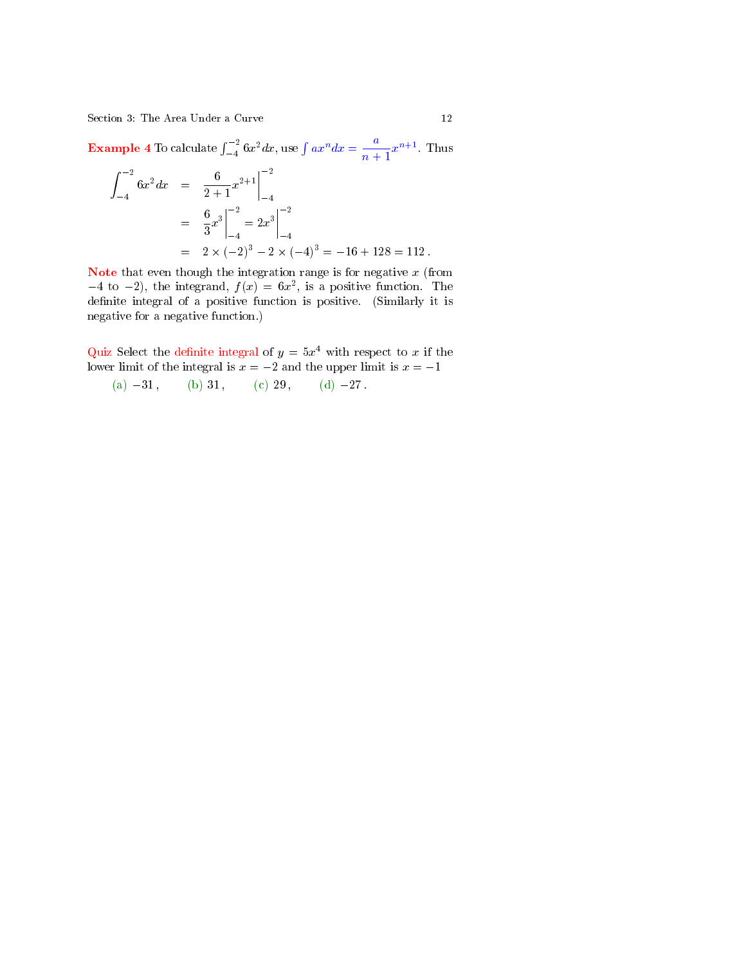<span id="page-11-0"></span>**Example 4** To calculate  $\int_{-4}^{-2} 6x^2 dx$ , use  $\int ax^n dx = \frac{a}{n+4}$  $\frac{a}{n+1}x^{n+1}$ . Thus

$$
\int_{-4}^{-2} 6x^2 dx = \frac{6}{2+1} x^{2+1} \Big|_{-4}^{-2}
$$
  
=  $\frac{6}{3} x^3 \Big|_{-4}^{-2} = 2x^3 \Big|_{-4}^{-2}$   
=  $2 \times (-2)^3 - 2 \times (-4)^3 = -16 + 128 = 112.$ 

Note that even though the integration range is for negative  $x$  (from  $-4$  to  $-2$ ), the integrand,  $f(x) = 6x^2$ , is a positive function. The definite integral of a positive function is positive. (Similarly it is negative for a negative function.)

Quiz Select the definite integral of  $y = 5x^4$  with respect to x if the lower limit of the integral is  $x = -2$  and the upper limit is  $x = -1$ 

(a) 
$$
-31
$$
, (b) 31, (c) 29, (d)  $-27$ .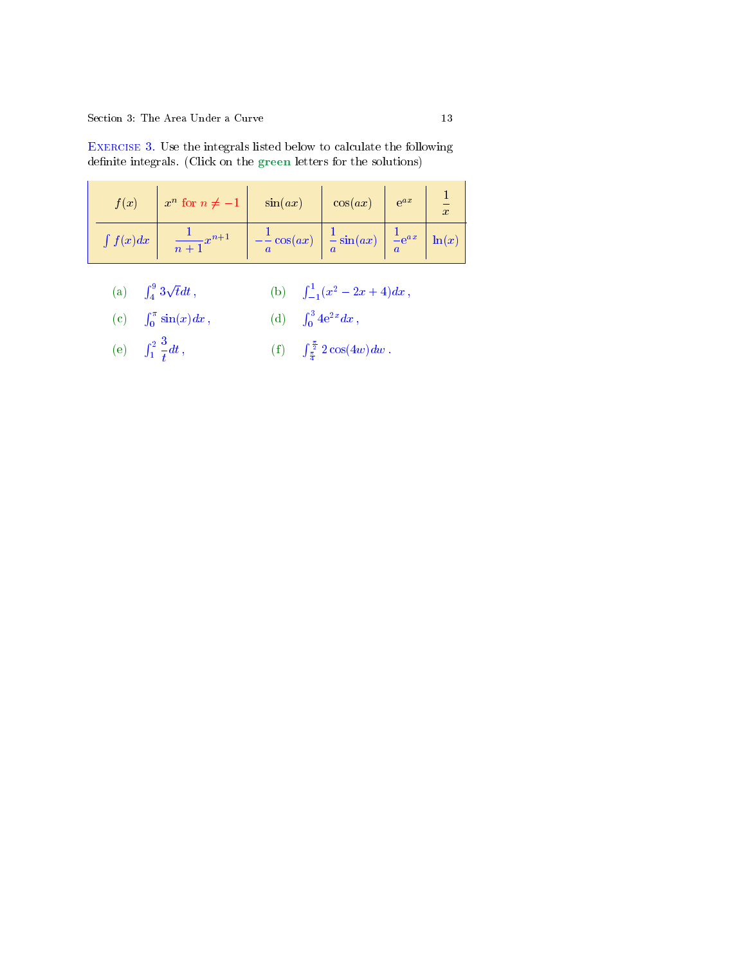| f(x)          | $x^n$ for $n \neq -1$ | $\sin(ax)$             | cos(ax)                                   | $e^{ax}$            | $\boldsymbol{x}$ |
|---------------|-----------------------|------------------------|-------------------------------------------|---------------------|------------------|
| $\int f(x)dx$ | $-x^{n+1}$<br>$n +$   | $-\frac{1}{a}\cos(ax)$ | $\frac{1}{a}\sin(ax)$<br>$\boldsymbol{a}$ | $\frac{1}{a}e^{ax}$ | $\ln(x)$         |

<span id="page-12-0"></span>Exercise 3. Use the integrals listed below to calculate the following definite integrals. (Click on the green letters for the solutions)

| (a) $\int_{4}^{9} 3\sqrt{t}dt$ , | (b) $\int_{-1}^{1} (x^2 - 2x + 4) dx$ , |
|----------------------------------|-----------------------------------------|
|----------------------------------|-----------------------------------------|

(c) 
$$
\int_0^{\pi} \sin(x) dx
$$
, (d)  $\int_0^3 4e^{2x} dx$ ,

(e) 
$$
\int_{1}^{2} \frac{3}{t} dt
$$
, (f)  $\int_{\frac{\pi}{4}}^{\frac{\pi}{2}} 2 \cos(4w) dw$ .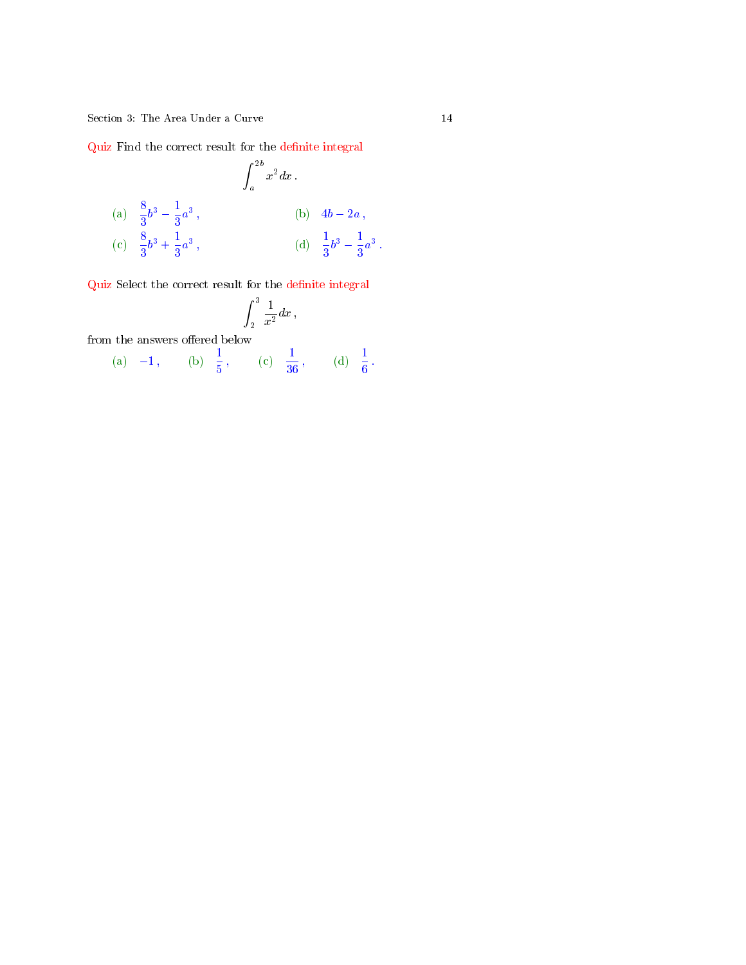<span id="page-13-0"></span>Quiz Find the correct result for the definite integral

(a) 
$$
\frac{8}{3}b^3 - \frac{1}{3}a^3
$$
,  
\n(b)  $4b - 2a$ ,  
\n(c)  $\frac{8}{3}b^3 + \frac{1}{3}a^3$ ,  
\n(d)  $\frac{1}{3}b^3 - \frac{1}{3}a^3$ .

 $\operatorname{Quiz}$  Select the correct result for the definite integral

$$
\int_2^3\frac{1}{x^2}dx\,,
$$

from the answers offered below

(a) -1, (b) 
$$
\frac{1}{5}
$$
, (c)  $\frac{1}{36}$ , (d)  $\frac{1}{6}$ .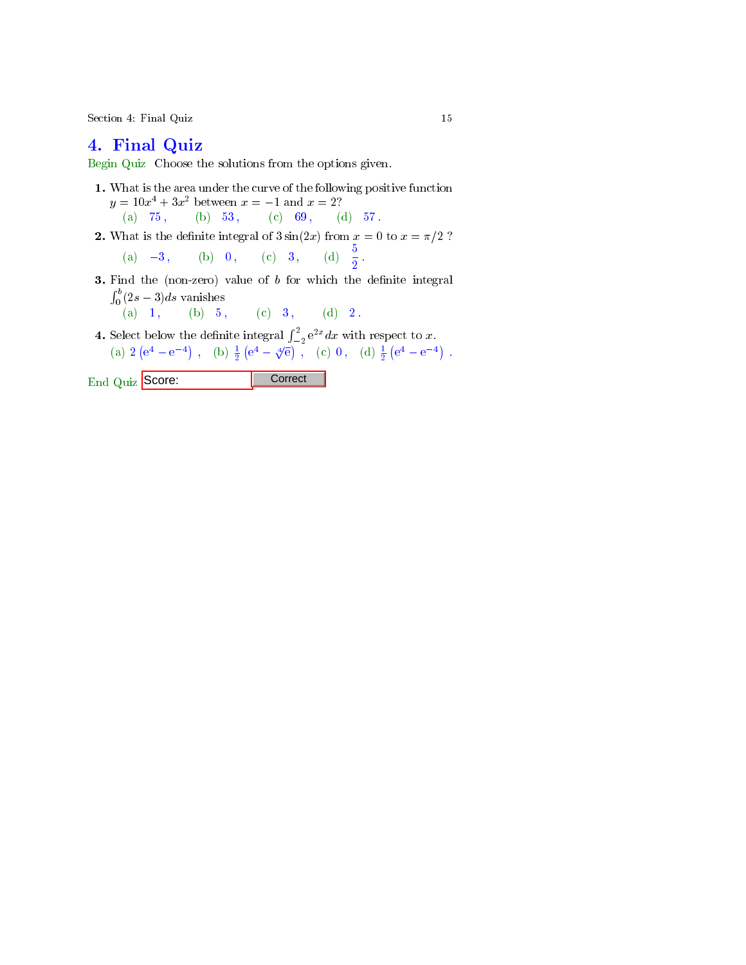Section 4: Final Quiz 15

## 4. Final Quiz

Begin Quiz Choose the solutions from the options given.

- 1. What is the area under the curve of the following positive function  $y = 10x^4 + 3x^2$  between  $x = -1$  and  $x = 2$ ? (a)  $75$ , (b)  $53$ , (c)  $69$ , (d)  $57$ .
- 2. What is the definite integral of  $3\sin(2x)$  from  $x = 0$  to  $x = \pi/2$  ?
	- (a)  $-3$ , (b) 0, (c) 3, (d)  $\frac{5}{2}$ .
- **3.** Find the (non-zero) value of  $b$  for which the definite integral  $\int_0^b (2s-3)ds$  vanishes
	- (a) 1, (b) 5, (c) 3, (d) 2.
- **4.** Select below the definite integral  $\int_{-2}^{2} e^{2x} dx$  with respect to x. (a)  $2(e^4 - e^{-4})$ , (b)  $\frac{1}{2}(e^4 - \sqrt[4]{e})$ , (c) 0, (d)  $\frac{1}{2}(e^4 - e^{-4})$ .

End Quiz Score: Correct |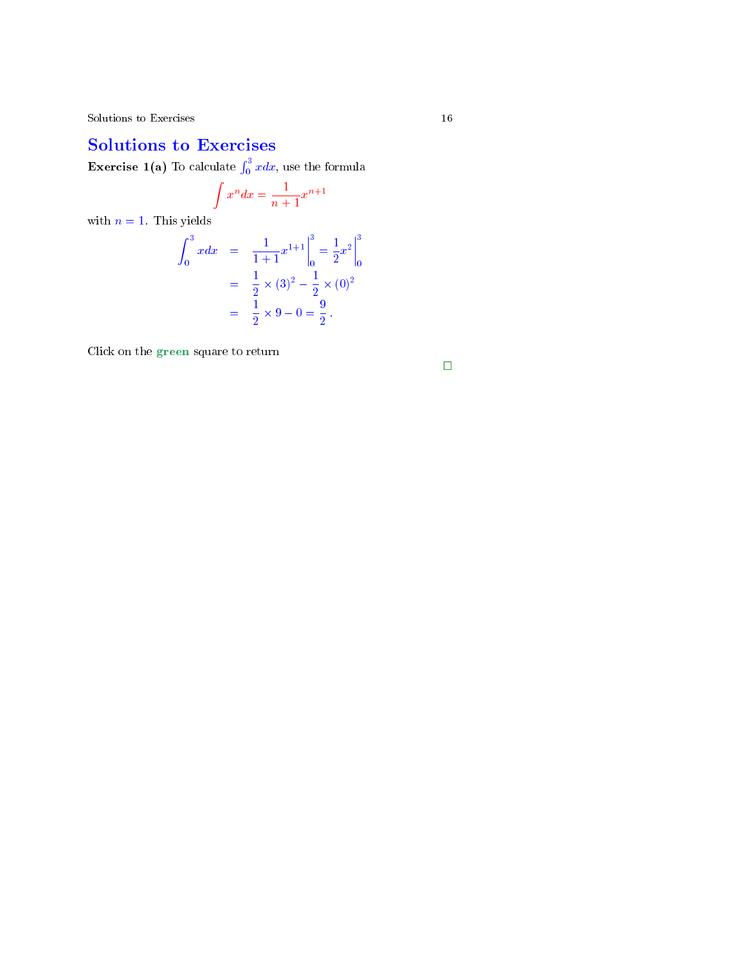# Solutions to Exercises

**Exercise 1(a)** To calculate  $\int_0^3 x dx$ , use the formula

$$
\int x^n dx = \frac{1}{n+1} x^{n+1}
$$

with  $n = 1$ . This yields

$$
\int_0^3 x dx = \frac{1}{1+1} x^{1+1} \Big|_0^3 = \frac{1}{2} x^2 \Big|_0^3
$$
  
=  $\frac{1}{2} \times (3)^2 - \frac{1}{2} \times (0)^2$   
=  $\frac{1}{2} \times 9 - 0 = \frac{9}{2}$ .

Click on the green square to return

 $\Box$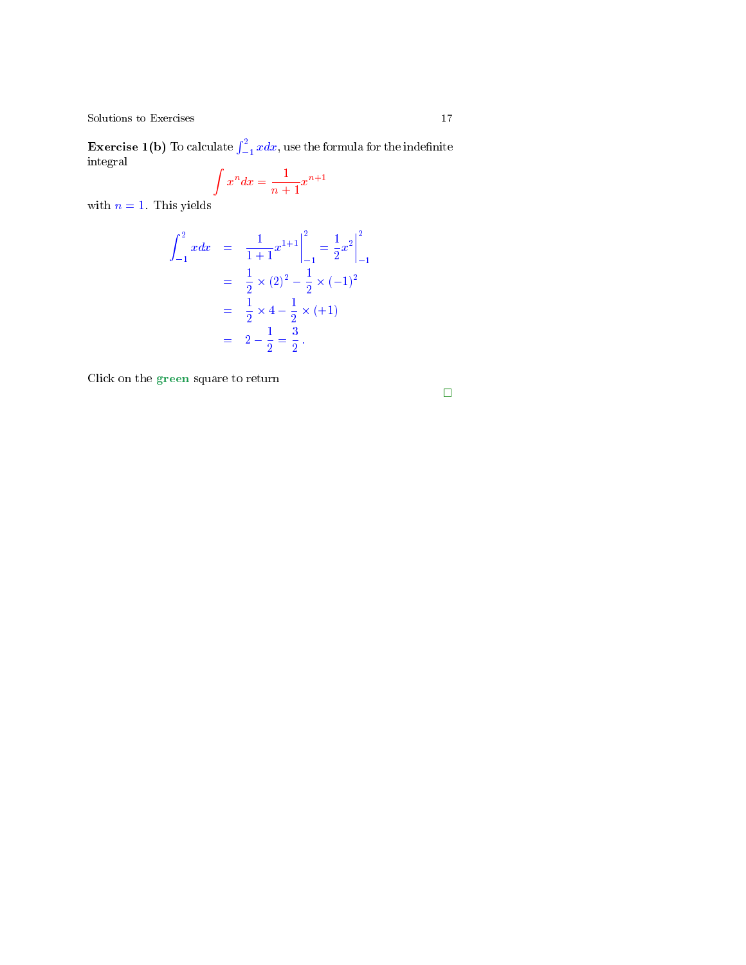<span id="page-16-0"></span> $\operatorname{\bf Exercise 1(b)}$  To calculate  $\int_{-1}^2 x dx,$  use the formula for the indefinite integral

$$
\int x^n dx = \frac{1}{n+1} x^{n+1}
$$

with  $n = 1$ . This yields

$$
\int_{-1}^{2} x dx = \frac{1}{1+1} x^{1+1} \Big|_{-1}^{2} = \frac{1}{2} x^{2} \Big|_{-1}^{2}
$$
  
=  $\frac{1}{2} \times (2)^{2} - \frac{1}{2} \times (-1)^{2}$   
=  $\frac{1}{2} \times 4 - \frac{1}{2} \times (+1)$   
=  $2 - \frac{1}{2} = \frac{3}{2}$ .

Click on the green square to return

 $\Box$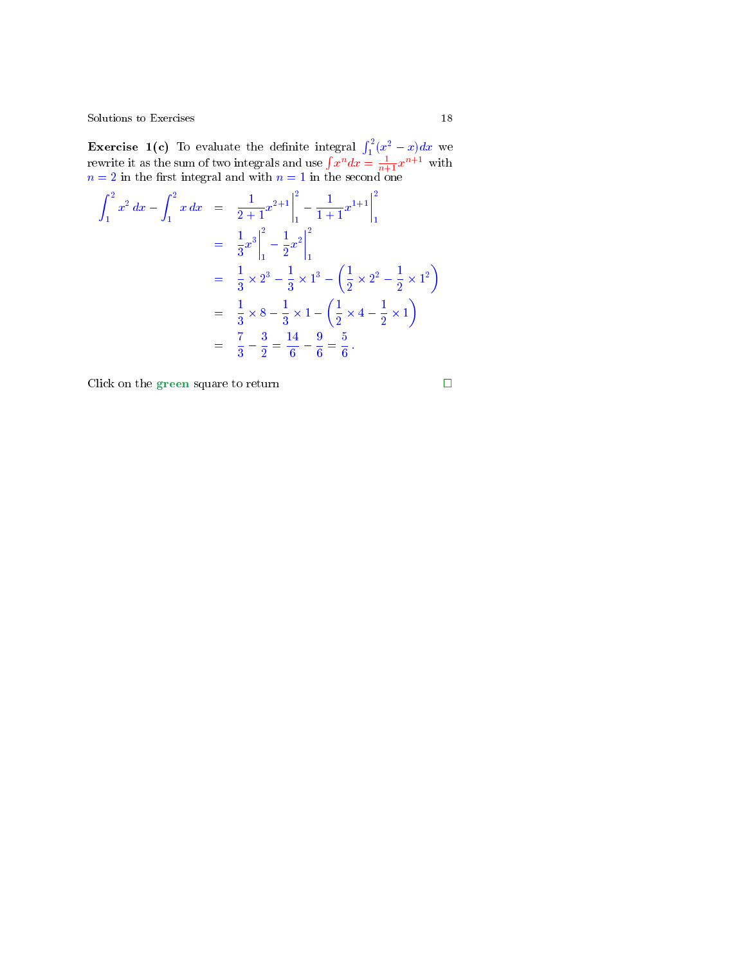**Exercise 1(c)** To evaluate the definite integral  $\int_1^2 (x^2 - x) dx$  we rewrite it as the sum of two integrals and use  $\int x^n dx = \frac{1}{n+1}x^{n+1}$  with  $n=2$  in the first integral and with  $n=1$  in the second one

$$
\int_{1}^{2} x^{2} dx - \int_{1}^{2} x dx = \frac{1}{2+1} x^{2+1} \Big|_{1}^{2} - \frac{1}{1+1} x^{1+1} \Big|_{1}^{2}
$$
  
\n
$$
= \frac{1}{3} x^{3} \Big|_{1}^{2} - \frac{1}{2} x^{2} \Big|_{1}^{2}
$$
  
\n
$$
= \frac{1}{3} \times 2^{3} - \frac{1}{3} \times 1^{3} - \left( \frac{1}{2} \times 2^{2} - \frac{1}{2} \times 1^{2} \right)
$$
  
\n
$$
= \frac{1}{3} \times 8 - \frac{1}{3} \times 1 - \left( \frac{1}{2} \times 4 - \frac{1}{2} \times 1 \right)
$$
  
\n
$$
= \frac{7}{3} - \frac{3}{2} = \frac{14}{6} - \frac{9}{6} = \frac{5}{6}.
$$

Click on the green square to return

$$
\Box
$$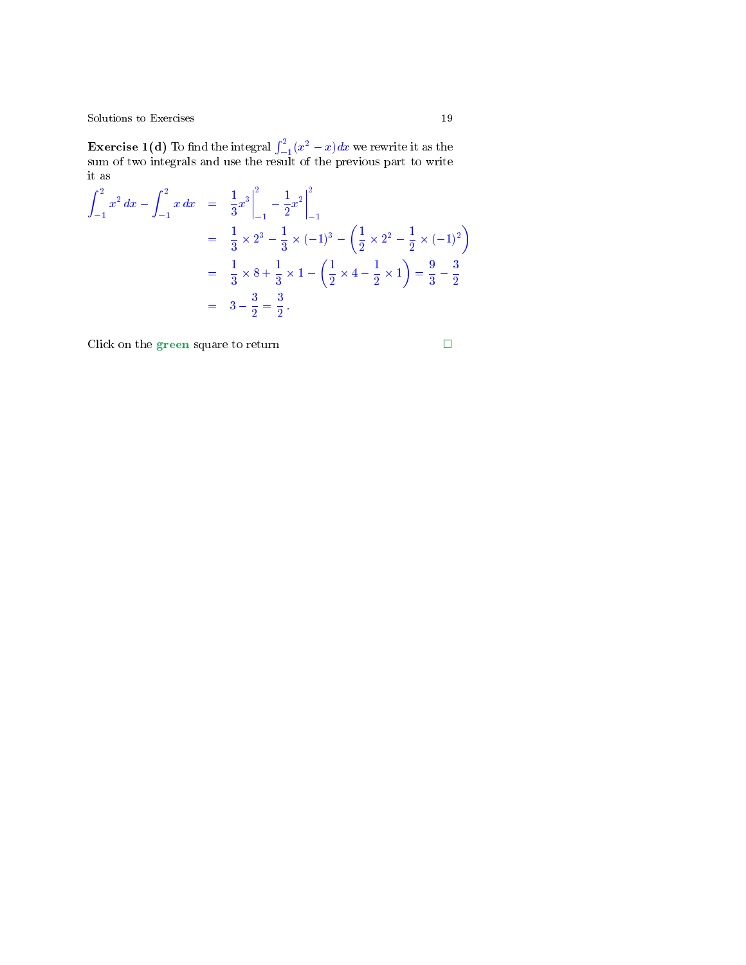<span id="page-18-0"></span>**Exercise 1(d)** To find the integral  $\int_{-1}^{2}(x^2-x)dx$  we rewrite it as the sum of two integrals and use the result of the previous part to write it as

$$
\int_{-1}^{2} x^{2} dx - \int_{-1}^{2} x dx = \left[ \frac{1}{3} x^{3} \right]_{-1}^{2} - \left[ \frac{1}{2} x^{2} \right]_{-1}^{2}
$$
  
=  $\left[ \frac{1}{3} \times 2^{3} - \frac{1}{3} \times (-1)^{3} - \left( \frac{1}{2} \times 2^{2} - \frac{1}{2} \times (-1)^{2} \right) \right]$   
=  $\left[ \frac{1}{3} \times 8 + \frac{1}{3} \times 1 - \left( \frac{1}{2} \times 4 - \frac{1}{2} \times 1 \right) \right] = \frac{9}{3} - \frac{3}{2}$   
=  $3 - \frac{3}{2} = \frac{3}{2}$ .

Click on the green square to return  $\hfill \square$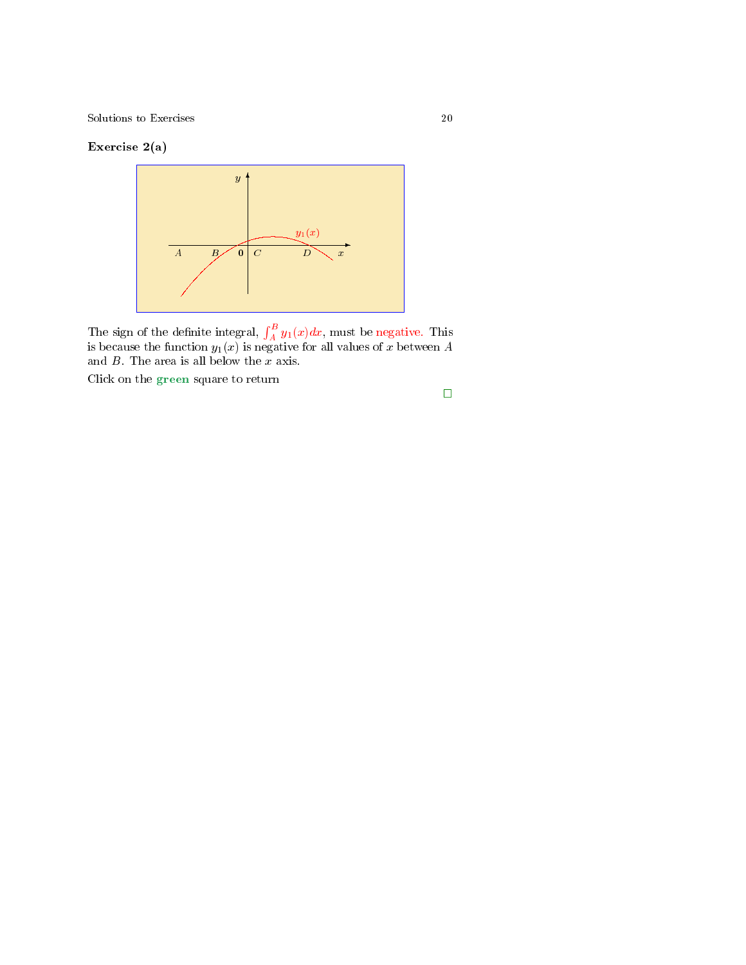### Exercise 2(a)



The sign of the definite integral,  $\int_A^B y_1(x)dx$ , must be negative. This is because the function  $y_1(x)$  is negative for all values of  $x$  between  $A$ and  $B$ . The area is all below the  $x$  axis.

Click on the green square to return

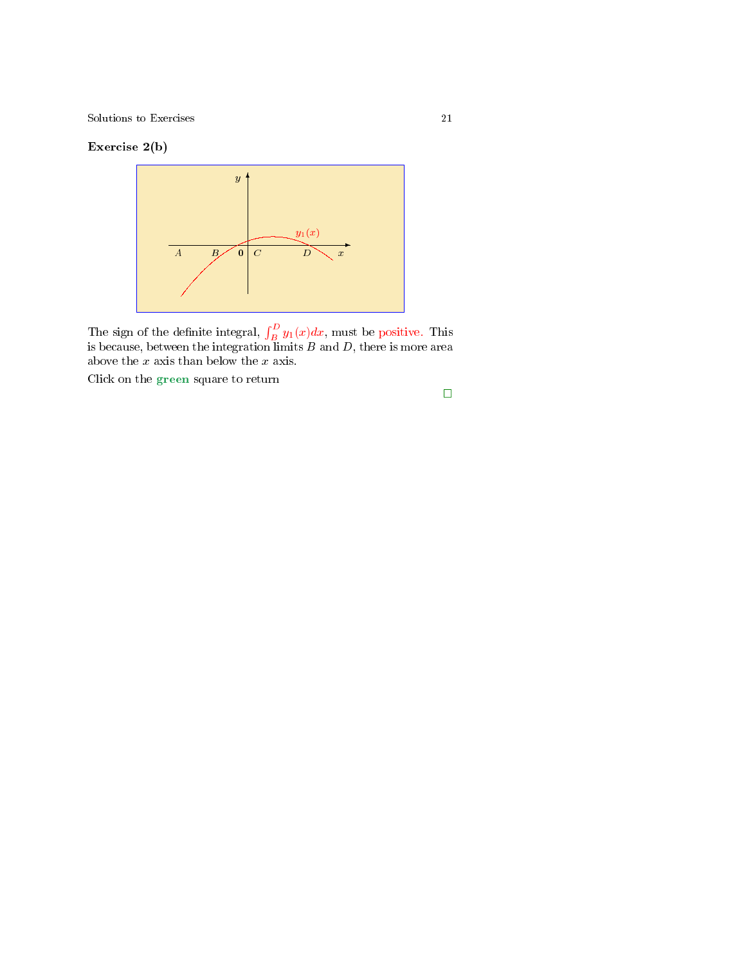### Exercise 2(b)



The sign of the definite integral,  $\int_B^D y_1(x)dx$ , must be positive. This is because, between the integration limits  $B$  and  $D,$  there is more area above the  $x$  axis than below the  $x$  axis.

Click on the green square to return

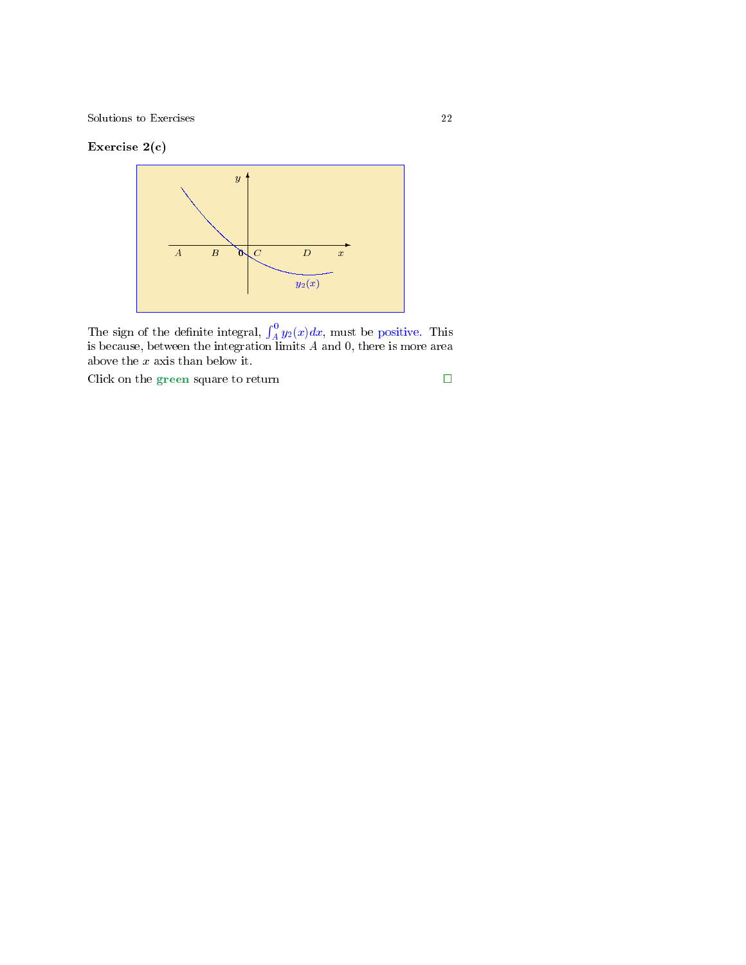### Exercise 2(c)



The sign of the definite integral,  $\int_A^0 y_2(x) dx$ , must be positive. This is because, between the integration limits  $A$  and  $0$ , there is more area above the  $\boldsymbol{x}$  axis than below it.

Click on the green square to return  $\hfill \square$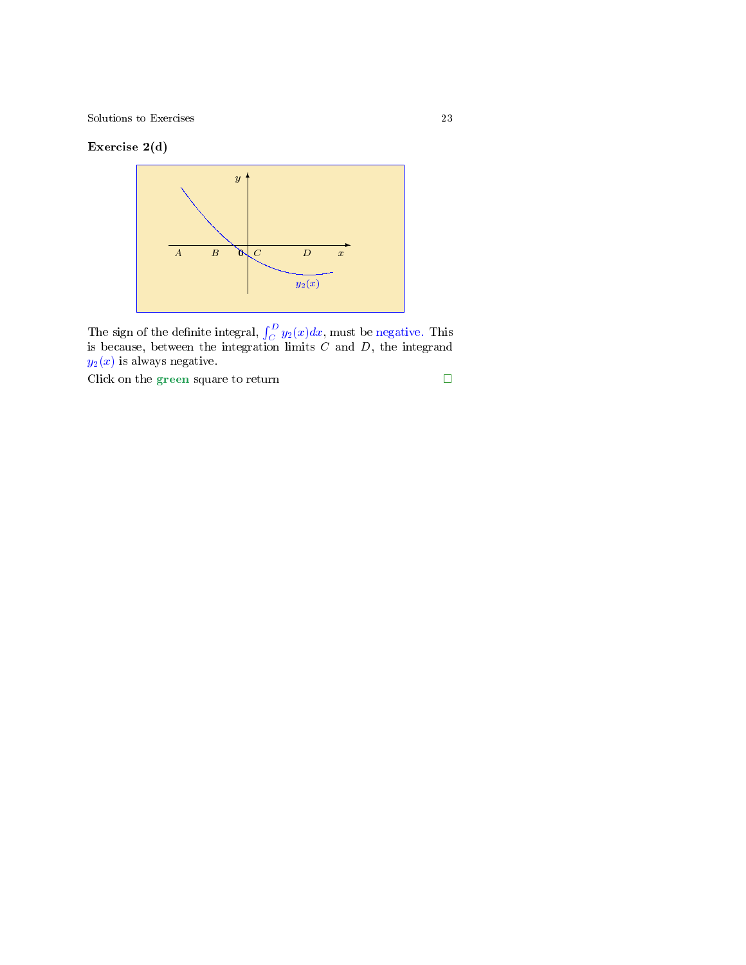### Exercise 2(d)



The sign of the definite integral,  $\int_C^D y_2(x)dx$ , must be negative. This is because, between the integration limits  $C$  and  $D$ , the integrand  $y_2(x)$  is always negative.

Click on the green square to return  $\hfill \Box$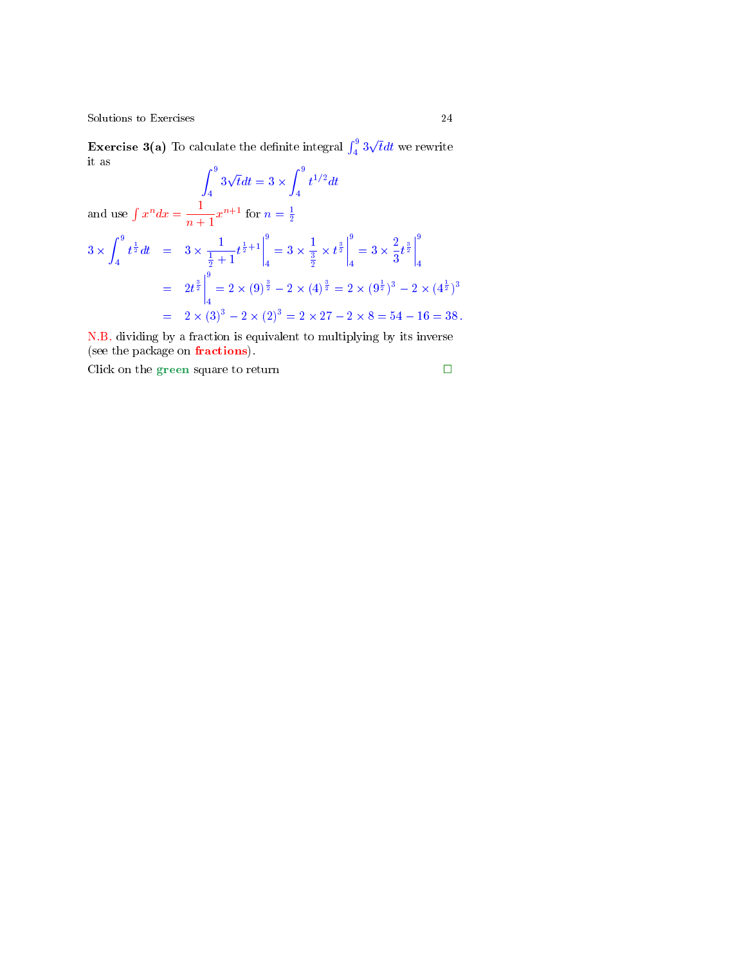**Exercise 3(a)** To calculate the definite integral  $\int_4^9 3\sqrt{t}dt$  we rewrite it as

 $\int_0^9$ 4  $3\sqrt{t}dt = 3 \times \int_{0}^{9}$ 4  $t^{1/2}dt$ and use  $\int x^n dx = \frac{1}{x^n}$  $\frac{1}{n+1}x^{n+1}$  for  $n=\frac{1}{2}$  $3 \times \int_{0}^{9}$ 4  $t^{\frac{1}{2}}dt = 3 \times \frac{1}{1+t}$  $\frac{1}{\frac{1}{2}+1}t^{\frac{1}{2}+1}$ 9  $\frac{9}{4} = 3 \times \frac{1}{\frac{3}{2}}$  $\frac{1}{\frac{3}{2}} \times t^{\frac{3}{2}}$ 9  $\frac{9}{4} = 3 \times \frac{2}{3}$  $\frac{2}{3}t^{\frac{3}{2}}\Bigg|$ 9 4  $= 2t^{\frac{3}{2}}$ 9  $\frac{1}{4} = 2 \times (9)^{\frac{3}{2}} - 2 \times (4)^{\frac{3}{2}} = 2 \times (9^{\frac{1}{2}})^3 - 2 \times (4^{\frac{1}{2}})^3$  $= 2 \times (3)^3 - 2 \times (2)^3 = 2 \times 27 - 2 \times 8 = 54 - 16 = 38$ .

N.B. dividing by a fraction is equivalent to multiplying by its inverse (see the package on fractions).

Click on the green square to return  $\Box$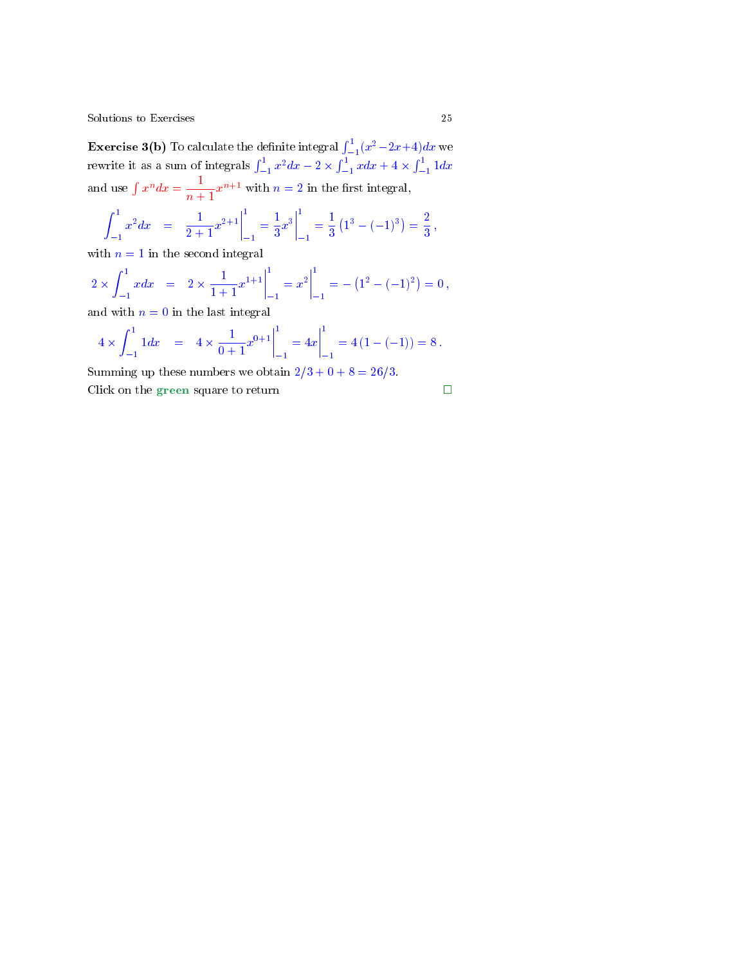**Exercise 3(b)** To calculate the definite integral  $\int_{-1}^{1}(x^2-2x+4)dx$  we rewrite it as a sum of integrals  $\int_{-1}^{1} x^2 dx - 2 \times \int_{-1}^{1} x dx + 4 \times \int_{-1}^{1} 1 dx$ and use  $\int x^n dx = \frac{1}{x^n}$  $\frac{1}{n+1}x^{n+1}$  with  $n=2$  in the first integral,

$$
\int_{-1}^{1} x^2 dx = \frac{1}{2+1} x^{2+1} \Big|_{-1}^{1} = \frac{1}{3} x^3 \Big|_{-1}^{1} = \frac{1}{3} (1^3 - (-1)^3) = \frac{2}{3},
$$

with  $n = 1$  in the second integral

$$
2 \times \int_{-1}^{1} x dx = 2 \times \frac{1}{1+1} x^{1+1} \Big|_{-1}^{1} = x^{2} \Big|_{-1}^{1} = - (1^{2} - (-1)^{2}) = 0,
$$

and with  $n = 0$  in the last integral

$$
4 \times \int_{-1}^{1} 1 dx = 4 \times \frac{1}{0+1} x^{0+1} \Big|_{-1}^{1} = 4x \Big|_{-1}^{1} = 4 (1 - (-1)) = 8.
$$

Summing up these numbers we obtain  $2/3 + 0 + 8 = 26/3$ .

Click on the green square to return

$$
\qquad \qquad \Box
$$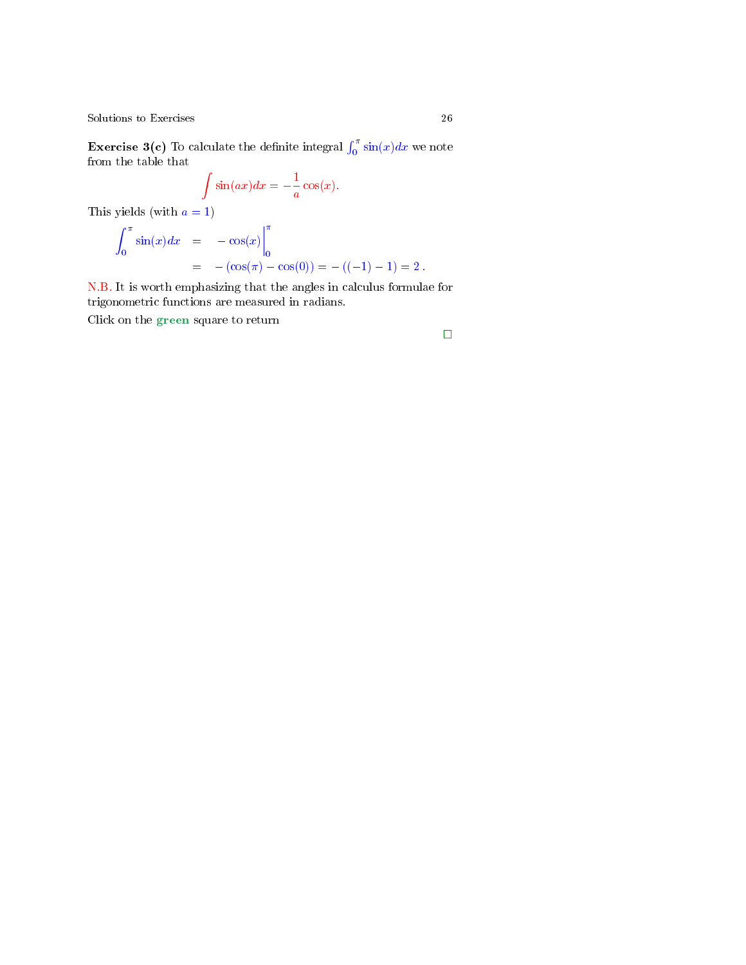**Exercise 3(c)** To calculate the definite integral  $\int_0^{\pi} \sin(x) dx$  we note from the table that

$$
\int \sin(ax)dx = -\frac{1}{a}\cos(x).
$$

This yields (with  $a = 1$ )

$$
\int_0^\pi \sin(x) dx = -\cos(x) \Big|_0^\pi
$$
  
= -(\cos(\pi) - \cos(0)) = -((-1) - 1) = 2.

N.B. It is worth emphasizing that the angles in calculus formulae for trigonometric functions are measured in radians.

Click on the green square to return

 $\Box$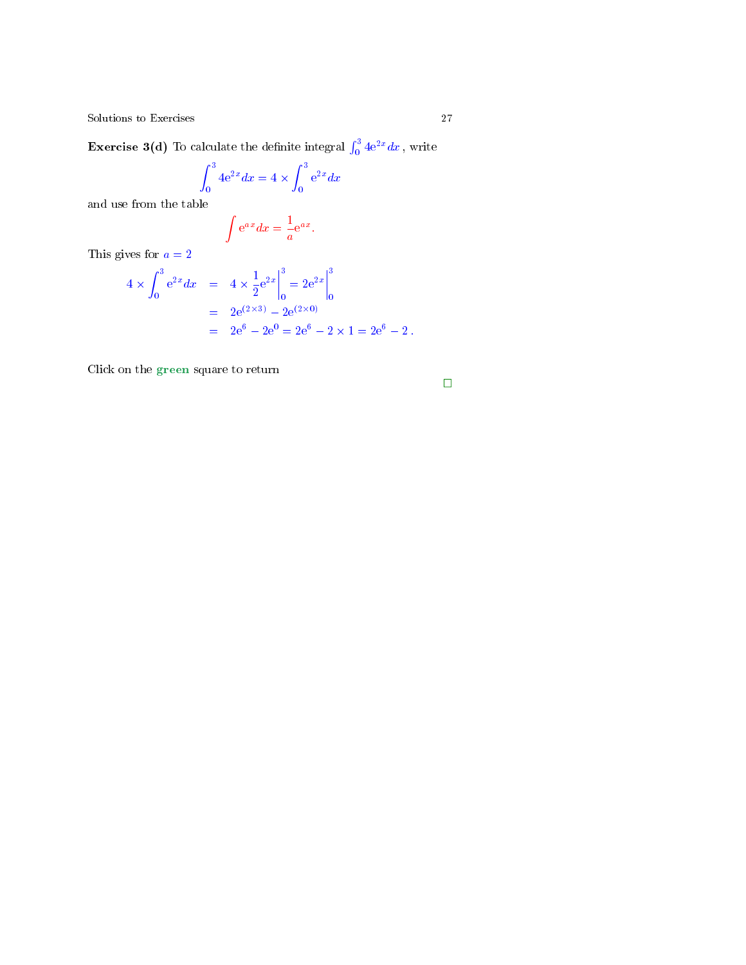<span id="page-26-0"></span>**Exercise 3(d)** To calculate the definite integral  $\int_0^3 4e^{2x} dx$  , write

$$
\int_0^3 4e^{2x} dx = 4 \times \int_0^3 e^{2x} dx
$$

and use from the table

$$
\int \mathrm{e}^{a\,x} dx = \frac{1}{a} \mathrm{e}^{a\,x}.
$$

This gives for  $a = 2$ 

$$
4 \times \int_0^3 e^{2x} dx = 4 \times \frac{1}{2} e^{2x} \Big|_0^3 = 2e^{2x} \Big|_0^3
$$
  
=  $2e^{(2\times 3)} - 2e^{(2\times 0)}$   
=  $2e^6 - 2e^0 = 2e^6 - 2 \times 1 = 2e^6 - 2$ .

Click on the green square to return

$$
\Box
$$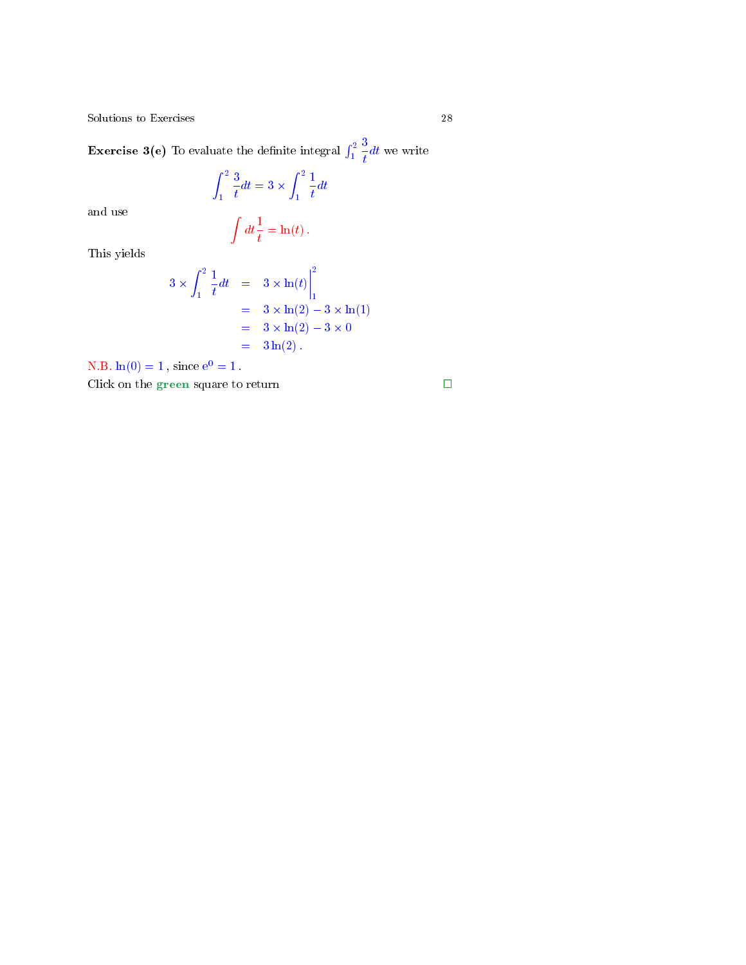**Exercise 3(e)** To evaluate the definite integral  $\int_1^2$ 3  $\frac{d}{dt}dt$  we write

> $\int_0^2$ 1 3  $\frac{3}{t}dt = 3 \times \int_1^2$ 1 1  $\frac{1}{t}dt$

and use

$$
\int dt \frac{1}{t} = \ln(t) \, .
$$

This yields

$$
3 \times \int_{1}^{2} \frac{1}{t} dt = 3 \times \ln(t) \Big|_{1}^{2}
$$
  
= 3 \times \ln(2) - 3 \times \ln(1)  
= 3 \times \ln(2) - 3 \times 0  
= 3 \ln(2).

N.B.  $ln(0) = 1$ , since  $e^{0} = 1$ .

Click on the green square to return  $\hfill \square$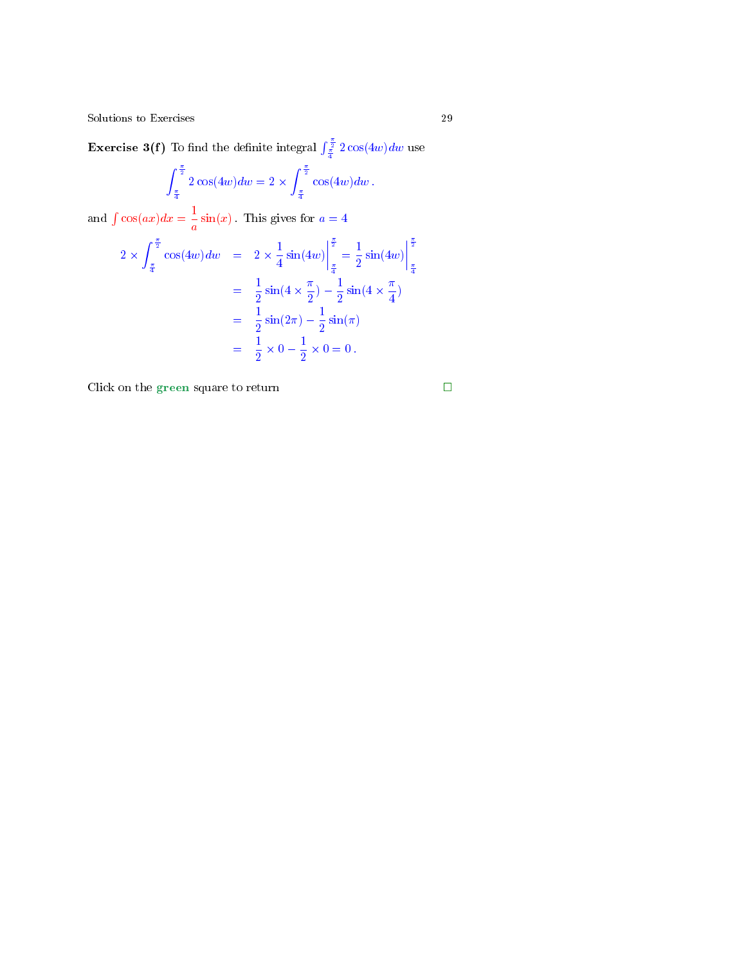<span id="page-28-0"></span>**Exercise 3(f)** To find the definite integral  $\int_{\frac{\pi}{4}}^{\frac{\pi}{2}} 2 \cos(4w) dw$  use

$$
\int_{\frac{\pi}{4}}^{\frac{\pi}{2}} 2\cos(4w) dw = 2 \times \int_{\frac{\pi}{4}}^{\frac{\pi}{2}} \cos(4w) dw.
$$
  
and  $\int \cos(ax) dx = \frac{1}{a} \sin(x)$ . This gives for  $a = 4$   

$$
2 \times \int_{\frac{\pi}{4}}^{\frac{\pi}{2}} \cos(4w) dw = 2 \times \frac{1}{4} \sin(4w) \Big|_{\frac{\pi}{4}}^{\frac{\pi}{2}} = \frac{1}{2} \sin(4w) \Big|_{\frac{\pi}{4}}^{\frac{\pi}{2}}
$$

$$
= \frac{1}{2} \sin(4 \times \frac{\pi}{2}) - \frac{1}{2} \sin(4 \times \frac{\pi}{4})
$$

$$
= \frac{1}{2} \sin(2\pi) - \frac{1}{2} \sin(\pi)
$$

$$
= \frac{1}{2} \times 0 - \frac{1}{2} \times 0 = 0.
$$

Click on the green square to return  $\hfill \square$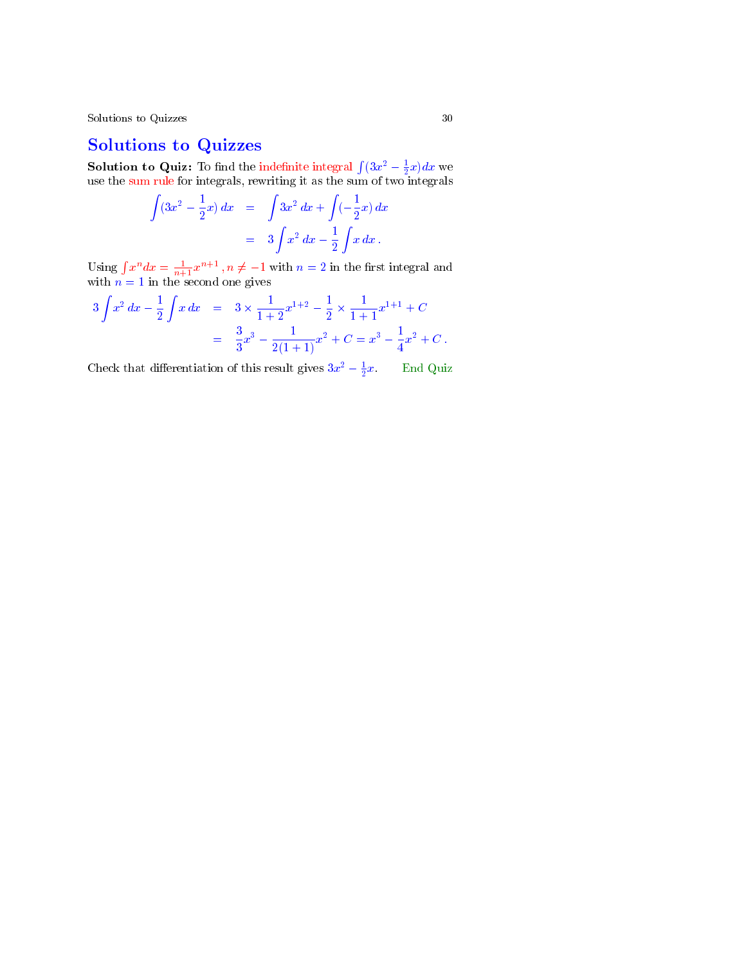# Solutions to Quizzes

**Solution to Quiz:** To find the indefinite integral  $\int (3x^2 - \frac{1}{2}x)dx$  we use the sum rule for integrals, rewriting it as the sum of two integrals

$$
\int (3x^2 - \frac{1}{2}x) dx = \int 3x^2 dx + \int (-\frac{1}{2}x) dx
$$
  
=  $3 \int x^2 dx - \frac{1}{2} \int x dx$ .

Using  $\int x^n dx = \frac{1}{n+1}x^{n+1}$ ,  $n \neq -1$  with  $n = 2$  in the first integral and with  $n = 1$  in the second one gives

$$
3\int x^2 dx - \frac{1}{2} \int x dx = 3 \times \frac{1}{1+2} x^{1+2} - \frac{1}{2} \times \frac{1}{1+1} x^{1+1} + C
$$
  
= 
$$
\frac{3}{3} x^3 - \frac{1}{2(1+1)} x^2 + C = x^3 - \frac{1}{4} x^2 + C.
$$

Check that differentiation of this result gives  $3x^2 - \frac{1}{2}$ End Quiz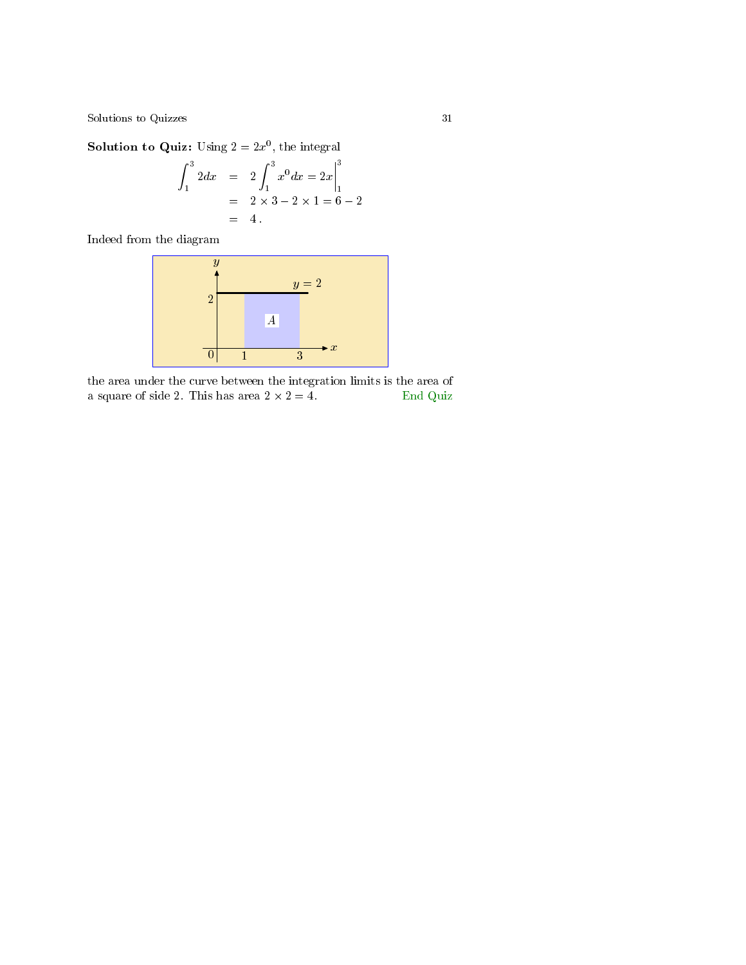**Solution to Quiz:** Using  $2 = 2x^0$ , the integral

$$
\int_{1}^{3} 2dx = 2 \int_{1}^{3} x^{0} dx = 2x \Big|_{1}^{3}
$$
  
= 2 \times 3 - 2 \times 1 = 6 - 2  
= 4.

Indeed from the diagram

$$
\begin{array}{c|c}\ny \\
y \\
2 \\
\hline\n\end{array}
$$
\n
$$
\begin{array}{c|c}\ny = 2 \\
\hline\nA \\
0 & 1 & 3\n\end{array}
$$

the area under the curve between the integration limits is the area of a square of side 2. This has area  $2 \times 2 = 4$ . End Quiz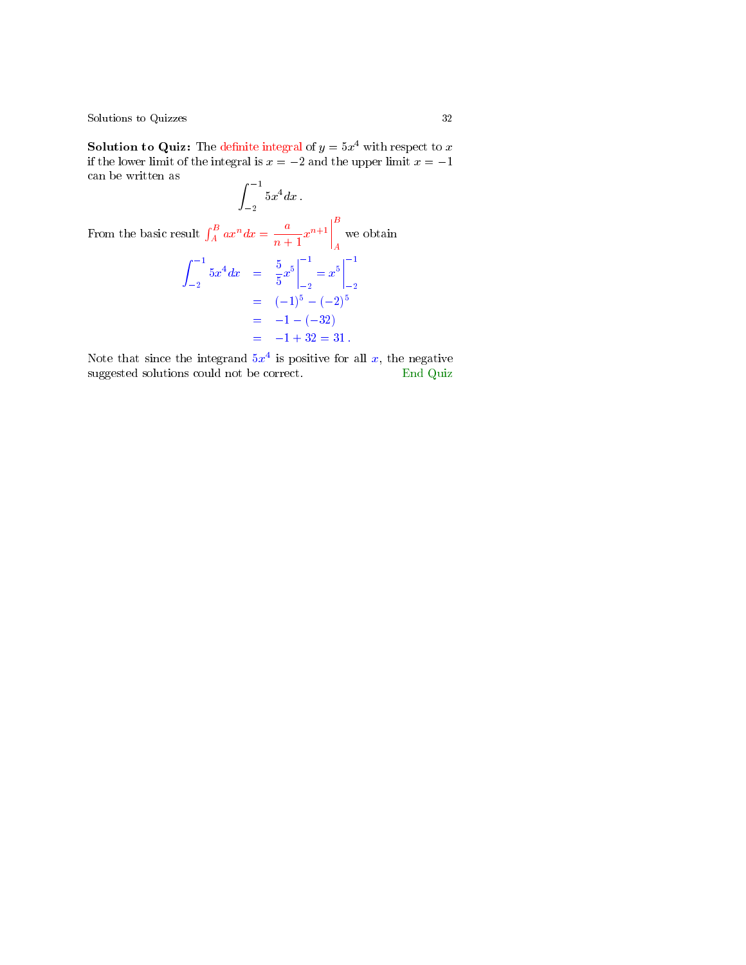**Solution to Quiz:** The definite integral of  $y = 5x^4$  with respect to x if the lower limit of the integral is  $x = -2$  and the upper limit  $x = -1$ can be written as

 $\int$ <sup>-1</sup> 2  $5x^4 dx$ . From the basic result  $\int_A^B ax^n dx = \frac{a}{n+1}$  $\left| \frac{a}{n+1} x^{n+1} \right|$ B A we obtain  $\int$ <sup>-1</sup>  $-2$  $5x^4dx = \frac{5}{5}$  $rac{5}{5}x^5$  $-1$  $-2$  $= x^5$  $-1$  $-1$  $-2$  $=$   $(-1)^5 - (-2)^5$  $=$   $-1 - (-32)$  $=$   $-1 + 32 = 31$ .

Note that since the integrand  $5x^4$  is positive for all x, the negative suggested solutions could not be correct. End Quiz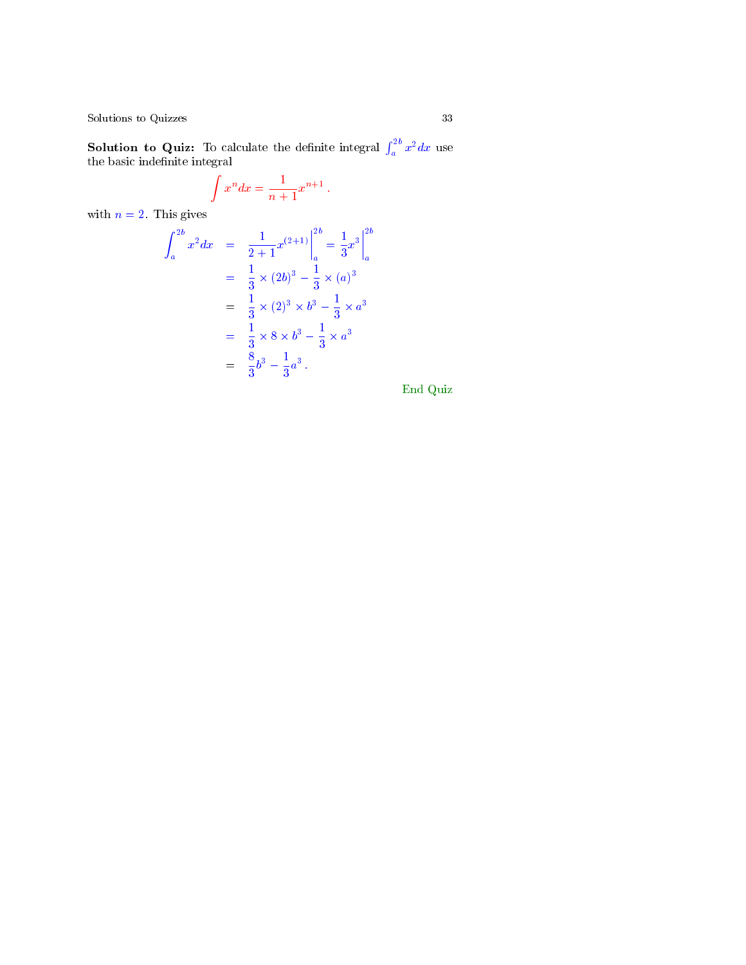**Solution to Quiz:** To calculate the definite integral  $\int_a^{2b} x^2 dx$  use the basic indefinite integral

$$
\int x^n dx = \frac{1}{n+1}x^{n+1}.
$$

with  $n = 2$ . This gives

$$
\int_{a}^{2b} x^{2} dx = \frac{1}{2+1} x^{(2+1)} \Big|_{a}^{2b} = \frac{1}{3} x^{3} \Big|_{a}^{2b}
$$
  
=  $\frac{1}{3} \times (2b)^{3} - \frac{1}{3} \times (a)^{3}$   
=  $\frac{1}{3} \times (2)^{3} \times b^{3} - \frac{1}{3} \times a^{3}$   
=  $\frac{1}{3} \times 8 \times b^{3} - \frac{1}{3} \times a^{3}$   
=  $\frac{8}{3} b^{3} - \frac{1}{3} a^{3}$ .

End Quiz